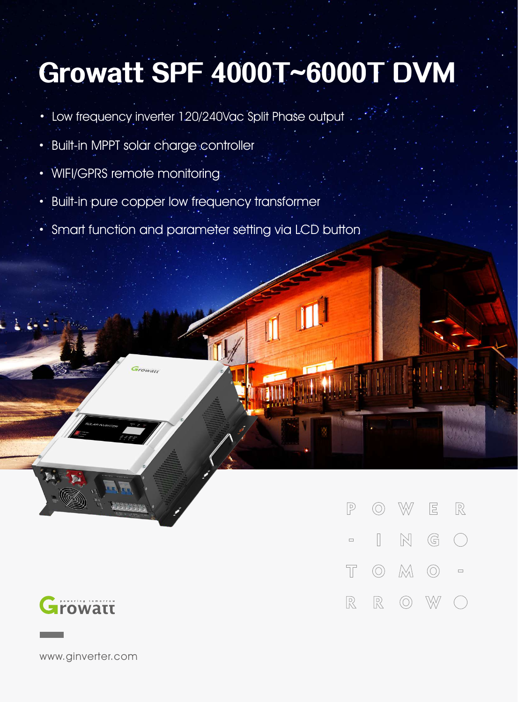## Growatt SPF 4000T~6000T DVM

- · Low frequency inverter 120/240Vac Split Phase output
- · Built-in MPPT solar charge controller
- WIFI/GPRS remote monitoring
- · Built-in pure copper low frequency transformer
- · Smart function and parameter setting via LCD button



W  $\boxed{\Xi}$  $\mathbb{R}$  $\boxed{P}$  $\circledcirc$  $\mathbb{N}$  $\overline{\phantom{a}}$  $\mathbb{G}$  $\left(\begin{array}{c}\right)$  $\Box$  $\circledcirc$   $\mathbb{M}$   $\circlearrowright$  $\top$  $\Box$  $\mathbb{R}$  $\mathbb{R}$  $\circledcirc$ W

www.ginverter.com